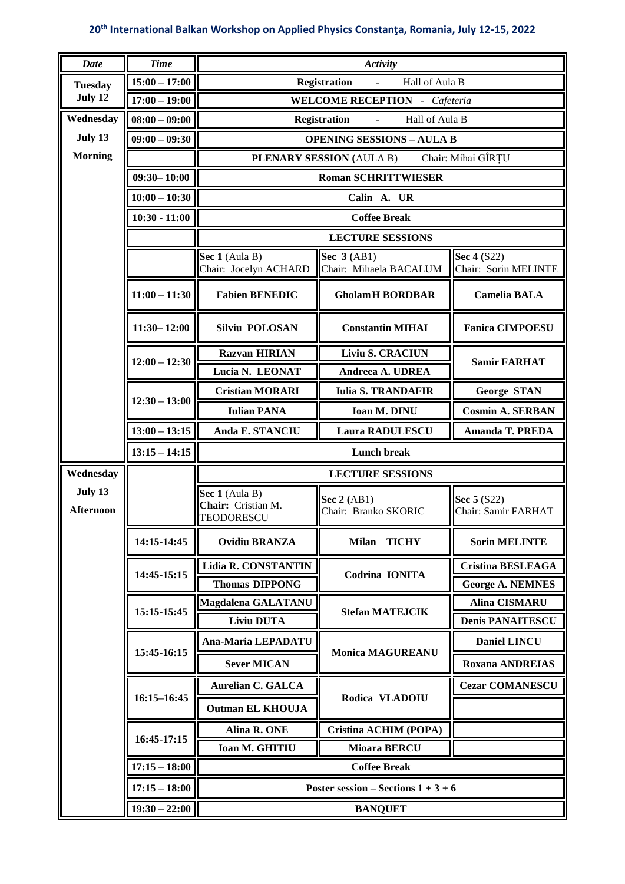| <b>Date</b>      | <b>Time</b>     | Activity                                                            |                                        |                                     |  |
|------------------|-----------------|---------------------------------------------------------------------|----------------------------------------|-------------------------------------|--|
| <b>Tuesday</b>   | $15:00 - 17:00$ | <b>Registration</b><br>Hall of Aula B<br>$\mathcal{L}^{\text{max}}$ |                                        |                                     |  |
| July 12          | $17:00 - 19:00$ | <b>WELCOME RECEPTION</b> - Cafeteria                                |                                        |                                     |  |
| Wednesday        | $08:00 - 09:00$ | Hall of Aula B<br><b>Registration</b>                               |                                        |                                     |  |
| July 13          | $09:00 - 09:30$ | <b>OPENING SESSIONS - AULA B</b>                                    |                                        |                                     |  |
| <b>Morning</b>   |                 | Chair: Mihai GÎRTU<br><b>PLENARY SESSION (AULA B)</b>               |                                        |                                     |  |
|                  | $09:30 - 10:00$ | <b>Roman SCHRITTWIESER</b>                                          |                                        |                                     |  |
|                  | $10:00 - 10:30$ | Calin A. UR                                                         |                                        |                                     |  |
|                  | $10:30 - 11:00$ | <b>Coffee Break</b>                                                 |                                        |                                     |  |
|                  |                 | <b>LECTURE SESSIONS</b>                                             |                                        |                                     |  |
|                  |                 | Sec 1 (Aula B)<br>Chair: Jocelyn ACHARD                             | Sec $3(AB1)$<br>Chair: Mihaela BACALUM | Sec 4 (S22)<br>Chair: Sorin MELINTE |  |
|                  | $11:00 - 11:30$ | <b>Fabien BENEDIC</b>                                               | <b>GholamH BORDBAR</b>                 | <b>Camelia BALA</b>                 |  |
|                  | $11:30 - 12:00$ | <b>Silviu POLOSAN</b>                                               | <b>Constantin MIHAI</b>                | <b>Fanica CIMPOESU</b>              |  |
|                  | $12:00 - 12:30$ | <b>Razvan HIRIAN</b>                                                | <b>Liviu S. CRACIUN</b>                | <b>Samir FARHAT</b>                 |  |
|                  |                 | Lucia N. LEONAT                                                     | Andreea A. UDREA                       |                                     |  |
|                  |                 | <b>Cristian MORARI</b>                                              | <b>Iulia S. TRANDAFIR</b>              | George STAN                         |  |
|                  | $12:30 - 13:00$ | <b>Iulian PANA</b>                                                  | Ioan M. DINU                           | <b>Cosmin A. SERBAN</b>             |  |
|                  | $13:00 - 13:15$ | Anda E. STANCIU                                                     | Laura RADULESCU                        | <b>Amanda T. PREDA</b>              |  |
|                  | $13:15 - 14:15$ | <b>Lunch break</b>                                                  |                                        |                                     |  |
| Wednesday        |                 | <b>LECTURE SESSIONS</b>                                             |                                        |                                     |  |
| July 13          |                 | Sec 1 (Aula B)<br>Sec 5 (S22)<br>Sec $2(AB1)$                       |                                        |                                     |  |
| <b>Afternoon</b> |                 | Chair: Cristian M.<br>TEODORESCU                                    | Chair: Branko SKORIC                   | Chair: Samir FARHAT                 |  |
|                  | 14:15-14:45     | <b>Ovidiu BRANZA</b>                                                | Milan TICHY                            | <b>Sorin MELINTE</b>                |  |
|                  | 14:45-15:15     | <b>Lidia R. CONSTANTIN</b>                                          | Codrina IONITA                         | <b>Cristina BESLEAGA</b>            |  |
|                  |                 | <b>Thomas DIPPONG</b>                                               |                                        | <b>George A. NEMNES</b>             |  |
|                  | 15:15-15:45     | Magdalena GALATANU                                                  | <b>Stefan MATEJCIK</b>                 | <b>Alina CISMARU</b>                |  |
|                  |                 | <b>Liviu DUTA</b>                                                   |                                        | <b>Denis PANAITESCU</b>             |  |
|                  | 15:45-16:15     | Ana-Maria LEPADATU                                                  | <b>Monica MAGUREANU</b>                | Daniel LINCU                        |  |
|                  |                 | <b>Sever MICAN</b>                                                  |                                        | <b>Roxana ANDREIAS</b>              |  |
|                  | $16:15 - 16:45$ | <b>Aurelian C. GALCA</b>                                            | Rodica VLADOIU                         | <b>Cezar COMANESCU</b>              |  |
|                  |                 | <b>Outman EL KHOUJA</b>                                             |                                        |                                     |  |
|                  | 16:45-17:15     | Alina R. ONE                                                        | Cristina ACHIM (POPA)                  |                                     |  |
|                  |                 | Ioan M. GHITIU                                                      | <b>Mioara BERCU</b>                    |                                     |  |
|                  | $17:15 - 18:00$ | <b>Coffee Break</b>                                                 |                                        |                                     |  |
|                  | $17:15 - 18:00$ | Poster session – Sections $1 + 3 + 6$                               |                                        |                                     |  |
|                  | $19:30 - 22:00$ | <b>BANQUET</b>                                                      |                                        |                                     |  |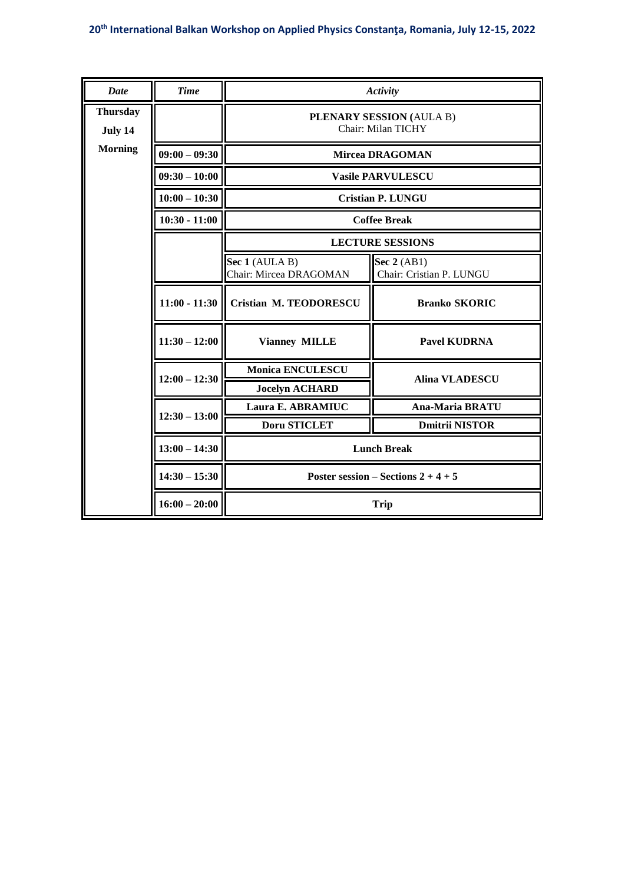| Date                       | <b>Time</b>     | Activity                                         |                                         |  |  |
|----------------------------|-----------------|--------------------------------------------------|-----------------------------------------|--|--|
| <b>Thursday</b><br>July 14 |                 | PLENARY SESSION (AULA B)<br>Chair: Milan TICHY   |                                         |  |  |
| <b>Morning</b>             | $09:00 - 09:30$ | Mircea DRAGOMAN                                  |                                         |  |  |
|                            | $09:30 - 10:00$ | <b>Vasile PARVULESCU</b>                         |                                         |  |  |
|                            | $10:00 - 10:30$ | <b>Cristian P. LUNGU</b>                         |                                         |  |  |
|                            | $10:30 - 11:00$ | <b>Coffee Break</b>                              |                                         |  |  |
|                            |                 | <b>LECTURE SESSIONS</b>                          |                                         |  |  |
|                            |                 | Sec 1 (AULA B)<br>Chair: Mircea DRAGOMAN         | Sec 2 (AB1)<br>Chair: Cristian P. LUNGU |  |  |
|                            | $11:00 - 11:30$ | <b>Cristian M. TEODORESCU</b>                    | <b>Branko SKORIC</b>                    |  |  |
|                            | $11:30 - 12:00$ | <b>Vianney MILLE</b>                             | <b>Pavel KUDRNA</b>                     |  |  |
|                            | $12:00 - 12:30$ | <b>Monica ENCULESCU</b><br><b>Alina VLADESCU</b> |                                         |  |  |
|                            |                 | <b>Jocelyn ACHARD</b>                            |                                         |  |  |
|                            | $12:30 - 13:00$ | Laura E. ABRAMIUC                                | <b>Ana-Maria BRATU</b>                  |  |  |
|                            |                 | <b>Doru STICLET</b>                              | <b>Dmitrii NISTOR</b>                   |  |  |
|                            | $13:00 - 14:30$ | <b>Lunch Break</b>                               |                                         |  |  |
|                            | $14:30 - 15:30$ | Poster session – Sections $2 + 4 + 5$            |                                         |  |  |
|                            | $16:00 - 20:00$ | <b>Trip</b>                                      |                                         |  |  |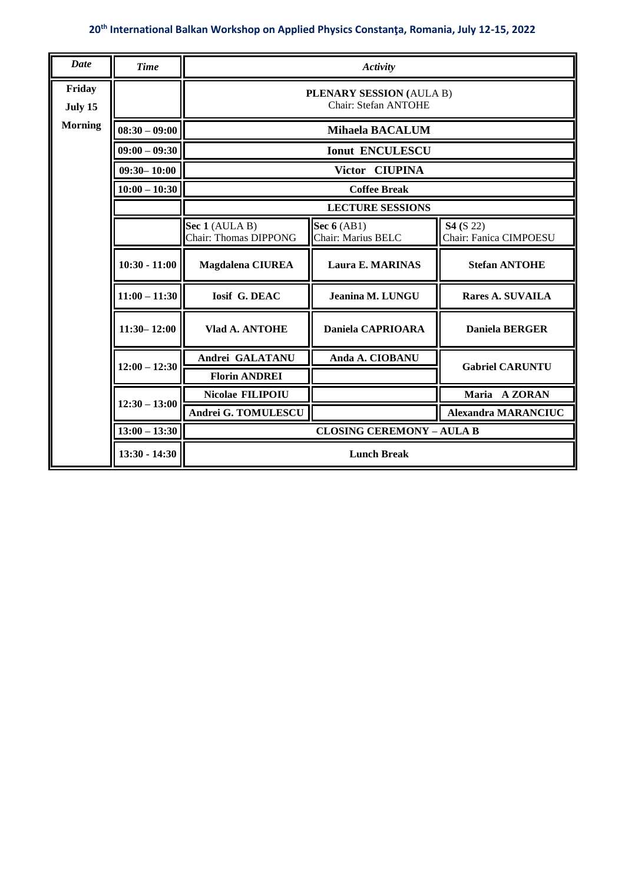| <b>Date</b>       | <b>Time</b>     | Activity                                         |                                     |                                            |  |  |
|-------------------|-----------------|--------------------------------------------------|-------------------------------------|--------------------------------------------|--|--|
| Friday<br>July 15 |                 | PLENARY SESSION (AULA B)<br>Chair: Stefan ANTOHE |                                     |                                            |  |  |
| <b>Morning</b>    | $08:30 - 09:00$ | <b>Mihaela BACALUM</b>                           |                                     |                                            |  |  |
|                   | $09:00 - 09:30$ | <b>Ionut ENCULESCU</b>                           |                                     |                                            |  |  |
|                   | $09:30 - 10:00$ | Victor CIUPINA                                   |                                     |                                            |  |  |
|                   | $10:00 - 10:30$ | <b>Coffee Break</b>                              |                                     |                                            |  |  |
|                   |                 | <b>LECTURE SESSIONS</b>                          |                                     |                                            |  |  |
|                   |                 | Sec 1 (AULA B)<br>Chair: Thomas DIPPONG          | Sec $6$ (AB1)<br>Chair: Marius BELC | <b>S4</b> (S 22)<br>Chair: Fanica CIMPOESU |  |  |
|                   | $10:30 - 11:00$ | <b>Magdalena CIUREA</b>                          | <b>Laura E. MARINAS</b>             | <b>Stefan ANTOHE</b>                       |  |  |
|                   | $11:00 - 11:30$ | <b>Iosif G. DEAC</b>                             | Jeanina M. LUNGU                    | <b>Rares A. SUVAILA</b>                    |  |  |
|                   | $11:30 - 12:00$ | Vlad A. ANTOHE                                   | <b>Daniela CAPRIOARA</b>            | <b>Daniela BERGER</b>                      |  |  |
|                   | $12:00 - 12:30$ | Andrei GALATANU                                  | Anda A. CIOBANU                     | <b>Gabriel CARUNTU</b>                     |  |  |
|                   |                 | <b>Florin ANDREI</b>                             |                                     |                                            |  |  |
|                   | $12:30 - 13:00$ | Nicolae FILIPOIU                                 |                                     | Maria A ZORAN                              |  |  |
|                   |                 | Andrei G. TOMULESCU                              |                                     | <b>Alexandra MARANCIUC</b>                 |  |  |
|                   | $13:00 - 13:30$ | <b>CLOSING CEREMONY - AULA B</b>                 |                                     |                                            |  |  |
|                   | $13:30 - 14:30$ | <b>Lunch Break</b>                               |                                     |                                            |  |  |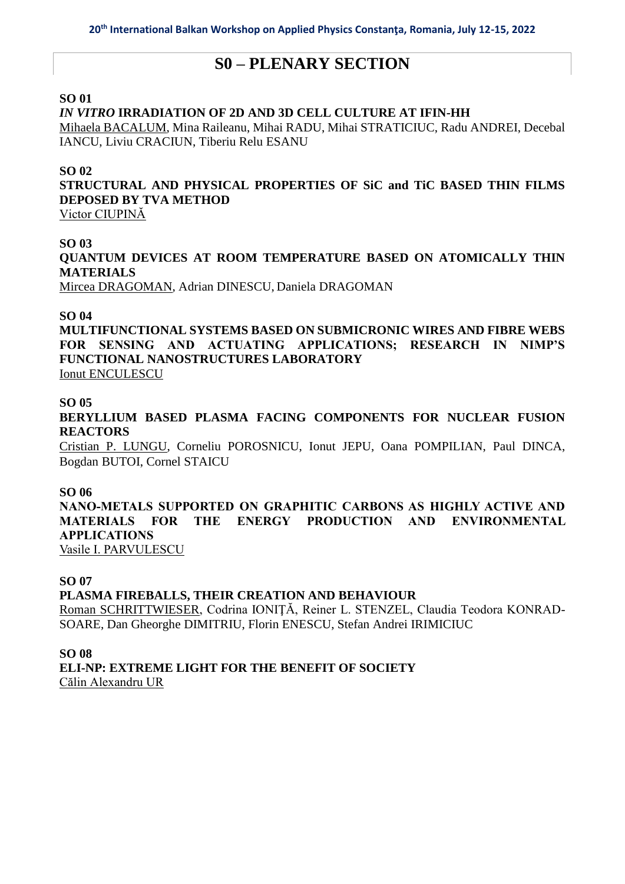## **S0 – PLENARY SECTION**

#### **SO 01**

#### *IN VITRO* **IRRADIATION OF 2D AND 3D CELL CULTURE AT IFIN-HH**

Mihaela BACALUM, Mina Raileanu, Mihai RADU, Mihai STRATICIUC, Radu ANDREI, Decebal IANCU, Liviu CRACIUN, Tiberiu Relu ESANU

#### **SO 02**

**STRUCTURAL AND PHYSICAL PROPERTIES OF SiC and TiC BASED THIN FILMS DEPOSED BY TVA METHOD**

Victor CIUPINĂ

#### **SO 03**

**QUANTUM DEVICES AT ROOM TEMPERATURE BASED ON ATOMICALLY THIN MATERIALS**

Mircea DRAGOMAN, Adrian DINESCU, Daniela DRAGOMAN

#### **SO 04**

**MULTIFUNCTIONAL SYSTEMS BASED ON SUBMICRONIC WIRES AND FIBRE WEBS FOR SENSING AND ACTUATING APPLICATIONS; RESEARCH IN NIMP'S FUNCTIONAL NANOSTRUCTURES LABORATORY** Ionut ENCULESCU

#### **SO 05**

**BERYLLIUM BASED PLASMA FACING COMPONENTS FOR NUCLEAR FUSION REACTORS**

Cristian P. LUNGU, Corneliu POROSNICU, Ionut JEPU, Oana POMPILIAN, Paul DINCA, Bogdan BUTOI, Cornel STAICU

#### **SO 06**

**NANO-METALS SUPPORTED ON GRAPHITIC CARBONS AS HIGHLY ACTIVE AND MATERIALS FOR THE ENERGY PRODUCTION AND ENVIRONMENTAL APPLICATIONS**

Vasile I. PARVULESCU

#### **SO 07**

#### **PLASMA FIREBALLS, THEIR CREATION AND BEHAVIOUR**

Roman SCHRITTWIESER, Codrina IONIŢĂ, Reiner L. STENZEL, Claudia Teodora KONRAD-SOARE, Dan Gheorghe DIMITRIU, Florin ENESCU, Stefan Andrei IRIMICIUC

#### **SO 08**

**ELI-NP: EXTREME LIGHT FOR THE BENEFIT OF SOCIETY** Călin Alexandru UR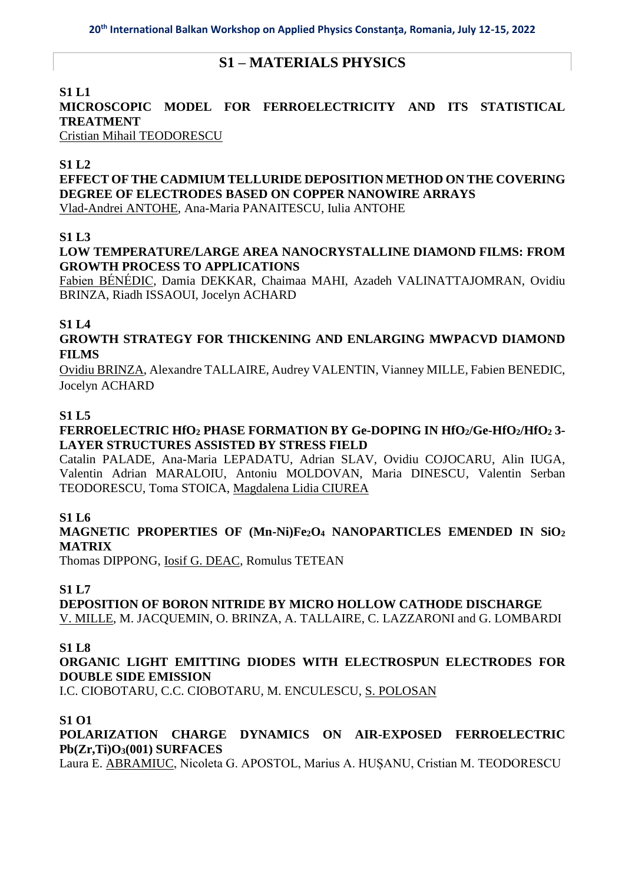## **S1 – MATERIALS PHYSICS**

## **S1 L1**

## **MICROSCOPIC MODEL FOR FERROELECTRICITY AND ITS STATISTICAL TREATMENT**

Cristian Mihail TEODORESCU

## **S1 L2**

**EFFECT OF THE CADMIUM TELLURIDE DEPOSITION METHOD ON THE COVERING DEGREE OF ELECTRODES BASED ON COPPER NANOWIRE ARRAYS** Vlad-Andrei ANTOHE, Ana-Maria PANAITESCU, Iulia ANTOHE

## **S1 L3**

## **LOW TEMPERATURE/LARGE AREA NANOCRYSTALLINE DIAMOND FILMS: FROM GROWTH PROCESS TO APPLICATIONS**

Fabien BÉNÉDIC, Damia DEKKAR, Chaimaa MAHI, Azadeh VALINATTAJOMRAN, Ovidiu BRINZA, Riadh ISSAOUI, Jocelyn ACHARD

## **S1 L4**

**GROWTH STRATEGY FOR THICKENING AND ENLARGING MWPACVD DIAMOND FILMS**

Ovidiu BRINZA, Alexandre TALLAIRE, Audrey VALENTIN, Vianney MILLE, Fabien BENEDIC, Jocelyn ACHARD

### **S1 L5**

## **FERROELECTRIC HfO<sup>2</sup> PHASE FORMATION BY Ge-DOPING IN HfO2/Ge-HfO2/HfO<sup>2</sup> 3- LAYER STRUCTURES ASSISTED BY STRESS FIELD**

Catalin PALADE, Ana-Maria LEPADATU, Adrian SLAV, Ovidiu COJOCARU, Alin IUGA, Valentin Adrian MARALOIU, Antoniu MOLDOVAN, Maria DINESCU, Valentin Serban TEODORESCU, Toma STOICA, Magdalena Lidia CIUREA

## **S1 L6**

## **MAGNETIC PROPERTIES OF (Mn-Ni)Fe2O<sup>4</sup> NANOPARTICLES EMENDED IN SiO<sup>2</sup> MATRIX**

Thomas DIPPONG, Iosif G. DEAC, Romulus TETEAN

## **S1 L7**

**DEPOSITION OF BORON NITRIDE BY MICRO HOLLOW CATHODE DISCHARGE** V. MILLE, M. JACQUEMIN, O. BRINZA, A. TALLAIRE, C. LAZZARONI and G. LOMBARDI

#### **S1 L8**

## **ORGANIC LIGHT EMITTING DIODES WITH ELECTROSPUN ELECTRODES FOR DOUBLE SIDE EMISSION**

I.C. CIOBOTARU, C.C. CIOBOTARU, M. ENCULESCU, S. POLOSAN

## **S1 O1**

## **POLARIZATION CHARGE DYNAMICS ON AIR-EXPOSED FERROELECTRIC Pb(Zr,Ti)O3(001) SURFACES**

Laura E. ABRAMIUC, Nicoleta G. APOSTOL, Marius A. HUȘANU, Cristian M. TEODORESCU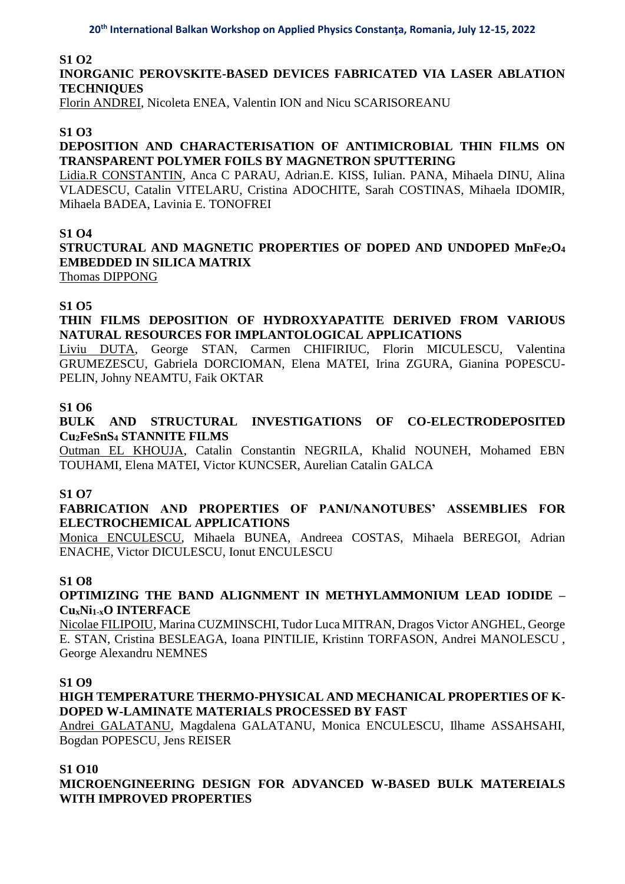#### **S1 O2**

## **INORGANIC PEROVSKITE-BASED DEVICES FABRICATED VIA LASER ABLATION TECHNIQUES**

Florin ANDREI, Nicoleta ENEA, Valentin ION and Nicu SCARISOREANU

#### **S1 O3**

### **DEPOSITION AND CHARACTERISATION OF ANTIMICROBIAL THIN FILMS ON TRANSPARENT POLYMER FOILS BY MAGNETRON SPUTTERING**

Lidia.R CONSTANTIN, Anca C PARAU, Adrian.E. KISS, Iulian. PANA, Mihaela DINU, Alina VLADESCU, Catalin VITELARU, Cristina ADOCHITE, Sarah COSTINAS, Mihaela IDOMIR, Mihaela BADEA, Lavinia E. TONOFREI

#### **S1 O4**

# **STRUCTURAL AND MAGNETIC PROPERTIES OF DOPED AND UNDOPED MnFe2O<sup>4</sup> EMBEDDED IN SILICA MATRIX**

Thomas DIPPONG

### **S1 O5**

## **THIN FILMS DEPOSITION OF HYDROXYAPATITE DERIVED FROM VARIOUS NATURAL RESOURCES FOR IMPLANTOLOGICAL APPLICATIONS**

Liviu DUTA, George STAN, Carmen CHIFIRIUC, Florin MICULESCU, Valentina GRUMEZESCU, Gabriela DORCIOMAN, Elena MATEI, Irina ZGURA, Gianina POPESCU-PELIN, Johny NEAMTU, Faik OKTAR

#### **S1 O6**

### **BULK AND STRUCTURAL INVESTIGATIONS OF CO-ELECTRODEPOSITED Cu2FeSnS<sup>4</sup> STANNITE FILMS**

Outman EL KHOUJA, Catalin Constantin NEGRILA, Khalid NOUNEH, Mohamed EBN TOUHAMI, Elena MATEI, Victor KUNCSER, Aurelian Catalin GALCA

#### **S1 O7**

### **FABRICATION AND PROPERTIES OF PANI/NANOTUBES' ASSEMBLIES FOR ELECTROCHEMICAL APPLICATIONS**

Monica ENCULESCU, Mihaela BUNEA, Andreea COSTAS, Mihaela BEREGOI, Adrian ENACHE, Victor DICULESCU, Ionut ENCULESCU

#### **S1 O8**

### **OPTIMIZING THE BAND ALIGNMENT IN METHYLAMMONIUM LEAD IODIDE – CuxNi1-xO INTERFACE**

Nicolae FILIPOIU, Marina CUZMINSCHI, Tudor Luca MITRAN, Dragos Victor ANGHEL, George E. STAN, Cristina BESLEAGA, Ioana PINTILIE, Kristinn TORFASON, Andrei MANOLESCU , George Alexandru NEMNES

#### **S1 O9**

## **HIGH TEMPERATURE THERMO-PHYSICAL AND MECHANICAL PROPERTIES OF K-DOPED W-LAMINATE MATERIALS PROCESSED BY FAST**

Andrei GALATANU, Magdalena GALATANU, Monica ENCULESCU, Ilhame ASSAHSAHI, Bogdan POPESCU, Jens REISER

#### **S1 O10**

## **MICROENGINEERING DESIGN FOR ADVANCED W-BASED BULK MATEREIALS WITH IMPROVED PROPERTIES**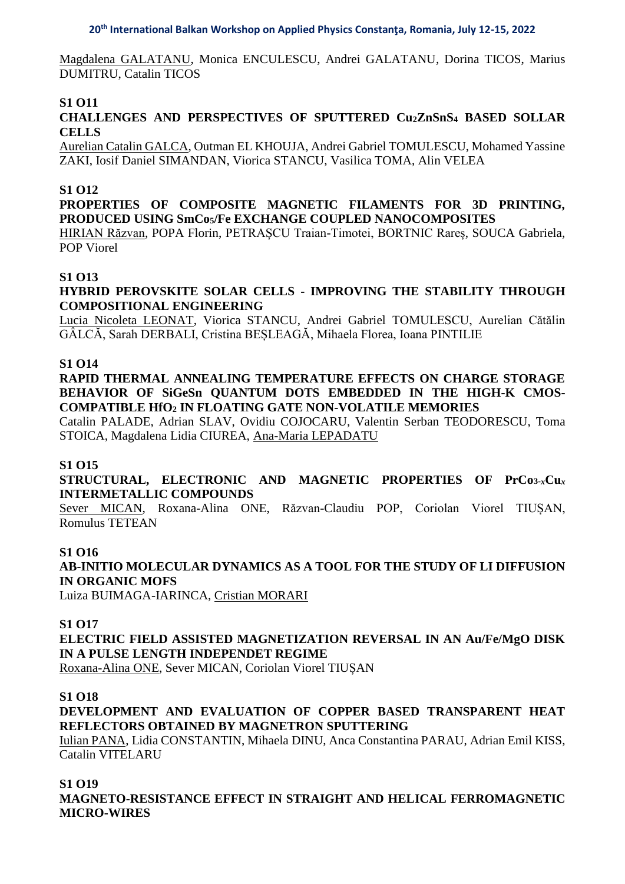Magdalena GALATANU, Monica ENCULESCU, Andrei GALATANU, Dorina TICOS, Marius DUMITRU, Catalin TICOS

## **S1 O11**

## **CHALLENGES AND PERSPECTIVES OF SPUTTERED Cu2ZnSnS<sup>4</sup> BASED SOLLAR CELLS**

Aurelian Catalin GALCA, Outman EL KHOUJA, Andrei Gabriel TOMULESCU, Mohamed Yassine ZAKI, Iosif Daniel SIMANDAN, Viorica STANCU, Vasilica TOMA, Alin VELEA

#### **S1 O12**

## **PROPERTIES OF COMPOSITE MAGNETIC FILAMENTS FOR 3D PRINTING, PRODUCED USING SmCo5/Fe EXCHANGE COUPLED NANOCOMPOSITES**

HIRIAN Răzvan, POPA Florin, PETRAȘCU Traian-Timotei, BORTNIC Rareș, SOUCA Gabriela, POP Viorel

#### **S1 O13**

#### **HYBRID PEROVSKITE SOLAR CELLS - IMPROVING THE STABILITY THROUGH COMPOSITIONAL ENGINEERING**

Lucia Nicoleta LEONAT, Viorica STANCU, Andrei Gabriel TOMULESCU, Aurelian Cătălin GÂLCĂ, Sarah DERBALI, Cristina BEȘLEAGĂ, Mihaela Florea, Ioana PINTILIE

#### **S1 O14**

#### **RAPID THERMAL ANNEALING TEMPERATURE EFFECTS ON CHARGE STORAGE BEHAVIOR OF SiGeSn QUANTUM DOTS EMBEDDED IN THE HIGH-K CMOS-COMPATIBLE HfO<sup>2</sup> IN FLOATING GATE NON-VOLATILE MEMORIES**

Catalin PALADE, Adrian SLAV, Ovidiu COJOCARU, Valentin Serban TEODORESCU, Toma STOICA, Magdalena Lidia CIUREA, Ana-Maria LEPADATU

#### **S1 O15**

**STRUCTURAL, ELECTRONIC AND MAGNETIC PROPERTIES OF PrCo3-***x***Cu***<sup>x</sup>* **INTERMETALLIC COMPOUNDS**

Sever MICAN, Roxana-Alina ONE, Răzvan-Claudiu POP, Coriolan Viorel TIUȘAN, Romulus TETEAN

#### **S1 O16**

**AB-INITIO MOLECULAR DYNAMICS AS A TOOL FOR THE STUDY OF LI DIFFUSION IN ORGANIC MOFS** 

Luiza BUIMAGA-IARINCA, Cristian MORARI

#### **S1 O17**

## **ELECTRIC FIELD ASSISTED MAGNETIZATION REVERSAL IN AN Au/Fe/MgO DISK IN A PULSE LENGTH INDEPENDET REGIME**

Roxana-Alina ONE, Sever MICAN, Coriolan Viorel TIUȘAN

#### **S1 O18**

## **DEVELOPMENT AND EVALUATION OF COPPER BASED TRANSPARENT HEAT REFLECTORS OBTAINED BY MAGNETRON SPUTTERING**

Iulian PANA, Lidia CONSTANTIN, Mihaela DINU, Anca Constantina PARAU, Adrian Emil KISS, Catalin VITELARU

#### **S1 O19**

**MAGNETO-RESISTANCE EFFECT IN STRAIGHT AND HELICAL FERROMAGNETIC MICRO-WIRES**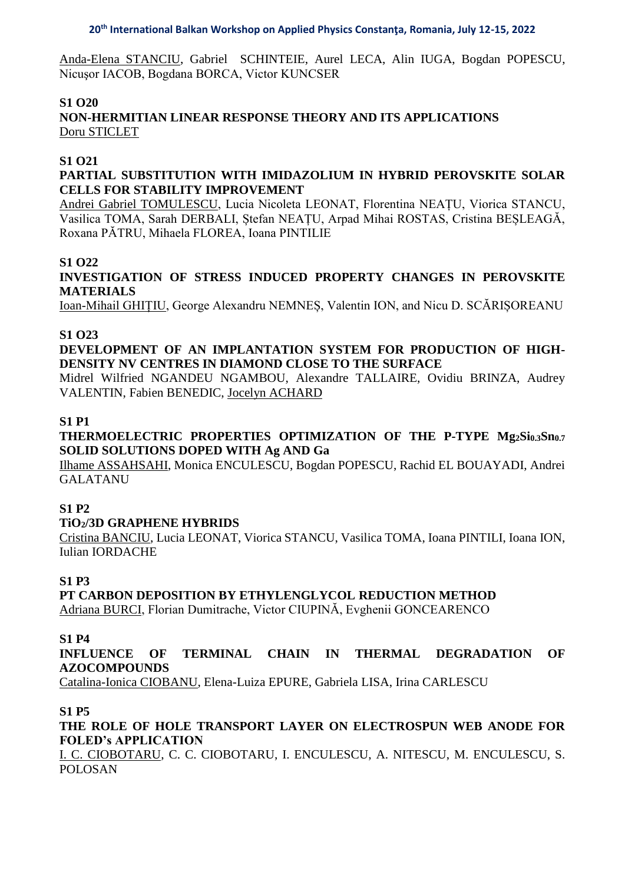Anda-Elena STANCIU, Gabriel SCHINTEIE, Aurel LECA, Alin IUGA, Bogdan POPESCU, Nicuşor IACOB, Bogdana BORCA, Victor KUNCSER

## **S1 O20**

**NON-HERMITIAN LINEAR RESPONSE THEORY AND ITS APPLICATIONS** Doru STICLET

### **S1 O21**

## **PARTIAL SUBSTITUTION WITH IMIDAZOLIUM IN HYBRID PEROVSKITE SOLAR CELLS FOR STABILITY IMPROVEMENT**

Andrei Gabriel TOMULESCU, Lucia Nicoleta LEONAT, Florentina NEAȚU, Viorica STANCU, Vasilica TOMA, Sarah DERBALI, Ștefan NEAȚU, Arpad Mihai ROSTAS, Cristina BEȘLEAGĂ, Roxana PĂTRU, Mihaela FLOREA, Ioana PINTILIE

### **S1 O22**

**INVESTIGATION OF STRESS INDUCED PROPERTY CHANGES IN PEROVSKITE MATERIALS**

Ioan-Mihail GHIȚIU, George Alexandru NEMNEȘ, Valentin ION, and Nicu D. SCĂRIȘOREANU

### **S1 O23**

## **DEVELOPMENT OF AN IMPLANTATION SYSTEM FOR PRODUCTION OF HIGH-DENSITY NV CENTRES IN DIAMOND CLOSE TO THE SURFACE**

Midrel Wilfried NGANDEU NGAMBOU, Alexandre TALLAIRE, Ovidiu BRINZA, Audrey VALENTIN, Fabien BENEDIC, Jocelyn ACHARD

#### **S1 P1**

## **THERMOELECTRIC PROPERTIES OPTIMIZATION OF THE P-TYPE Mg2Si0.3Sn0.7 SOLID SOLUTIONS DOPED WITH Ag AND Ga**

Ilhame ASSAHSAHI, Monica ENCULESCU, Bogdan POPESCU, Rachid EL BOUAYADI, Andrei GALATANU

## **S1 P2**

## **TiO2/3D GRAPHENE HYBRIDS**

Cristina BANCIU, Lucia LEONAT, Viorica STANCU, Vasilica TOMA, Ioana PINTILI, Ioana ION, Iulian IORDACHE

## **S1 P3**

## **PT CARBON DEPOSITION BY ETHYLENGLYCOL REDUCTION METHOD**

Adriana BURCI, Florian Dumitrache, Victor CIUPINĂ, Evghenii GONCEARENCO

#### **S1 P4**

**INFLUENCE OF TERMINAL CHAIN IN THERMAL DEGRADATION OF AZOCOMPOUNDS** 

Catalina-Ionica CIOBANU, Elena-Luiza EPURE, Gabriela LISA, Irina CARLESCU

### **S1 P5**

**THE ROLE OF HOLE TRANSPORT LAYER ON ELECTROSPUN WEB ANODE FOR FOLED's APPLICATION**

I. C. CIOBOTARU, C. C. CIOBOTARU, I. ENCULESCU, A. NITESCU, M. ENCULESCU, S. POLOSAN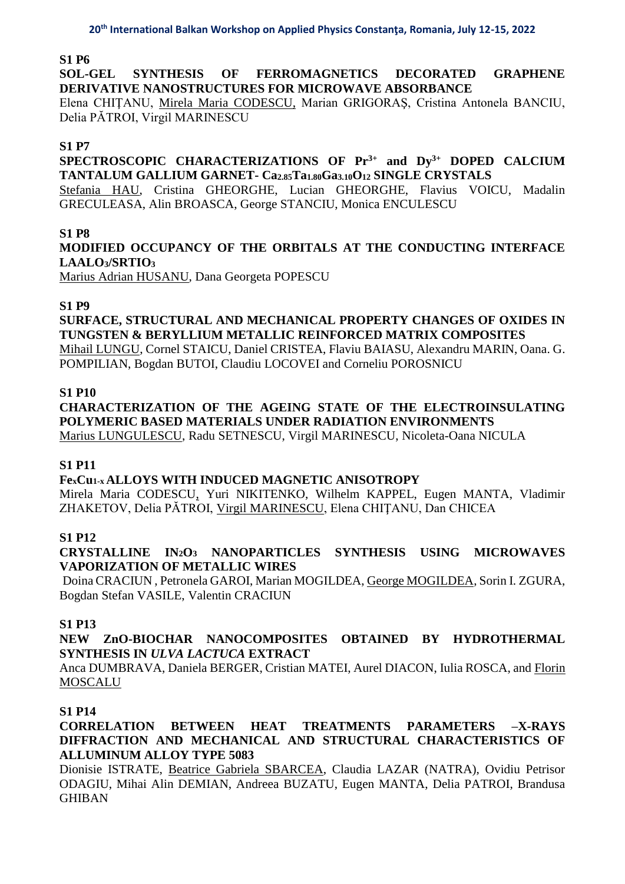## **S1 P6**

**SOL-GEL SYNTHESIS OF FERROMAGNETICS DECORATED GRAPHENE DERIVATIVE NANOSTRUCTURES FOR MICROWAVE ABSORBANCE**

Elena CHIŢANU, Mirela Maria CODESCU, Marian GRIGORAŞ, Cristina Antonela BANCIU, Delia PĂTROI, Virgil MARINESCU

## **S1 P7**

## **SPECTROSCOPIC CHARACTERIZATIONS OF Pr3+ and Dy3+ DOPED CALCIUM TANTALUM GALLIUM GARNET- Ca2.85Ta1.80Ga3.10O<sup>12</sup> SINGLE CRYSTALS**

Stefania HAU, Cristina GHEORGHE, Lucian GHEORGHE, Flavius VOICU, Madalin GRECULEASA, Alin BROASCA, George STANCIU, Monica ENCULESCU

### **S1 P8**

**MODIFIED OCCUPANCY OF THE ORBITALS AT THE CONDUCTING INTERFACE LAALO3/SRTIO<sup>3</sup>**

Marius Adrian HUSANU, Dana Georgeta POPESCU

### **S1 P9**

## **SURFACE, STRUCTURAL AND MECHANICAL PROPERTY CHANGES OF OXIDES IN TUNGSTEN & BERYLLIUM METALLIC REINFORCED MATRIX COMPOSITES**

Mihail LUNGU, Cornel STAICU, Daniel CRISTEA, Flaviu BAIASU, Alexandru MARIN, Oana. G. POMPILIAN, Bogdan BUTOI, Claudiu LOCOVEI and Corneliu POROSNICU

### **S1 P10**

# **CHARACTERIZATION OF THE AGEING STATE OF THE ELECTROINSULATING POLYMERIC BASED MATERIALS UNDER RADIATION ENVIRONMENTS**

Marius LUNGULESCU, Radu SETNESCU, Virgil MARINESCU, Nicoleta-Oana NICULA

## **S1 P11**

## **FexCu1-x ALLOYS WITH INDUCED MAGNETIC ANISOTROPY**

Mirela Maria CODESCU, Yuri NIKITENKO, Wilhelm KAPPEL, Eugen MANTA, Vladimir ZHAKETOV, Delia PĂTROI, Virgil MARINESCU, Elena CHIŢANU, Dan CHICEA

## **S1 P12**

## **CRYSTALLINE IN2O<sup>3</sup> NANOPARTICLES SYNTHESIS USING MICROWAVES VAPORIZATION OF METALLIC WIRES**

Doina CRACIUN , Petronela GAROI, Marian MOGILDEA, George MOGILDEA, Sorin I. ZGURA, Bogdan Stefan VASILE, Valentin CRACIUN

## **S1 P13**

## **NEW ZnO-BIOCHAR NANOCOMPOSITES OBTAINED BY HYDROTHERMAL SYNTHESIS IN** *ULVA LACTUCA* **EXTRACT**

Anca DUMBRAVA, Daniela BERGER, Cristian MATEI, Aurel DIACON, Iulia ROSCA, and Florin MOSCALU

## **S1 P14**

## **CORRELATION BETWEEN HEAT TREATMENTS PARAMETERS –X-RAYS DIFFRACTION AND MECHANICAL AND STRUCTURAL CHARACTERISTICS OF ALLUMINUM ALLOY TYPE 5083**

Dionisie ISTRATE, Beatrice Gabriela SBARCEA, Claudia LAZAR (NATRA), Ovidiu Petrisor ODAGIU, Mihai Alin DEMIAN, Andreea BUZATU, Eugen MANTA, Delia PATROI, Brandusa GHIBAN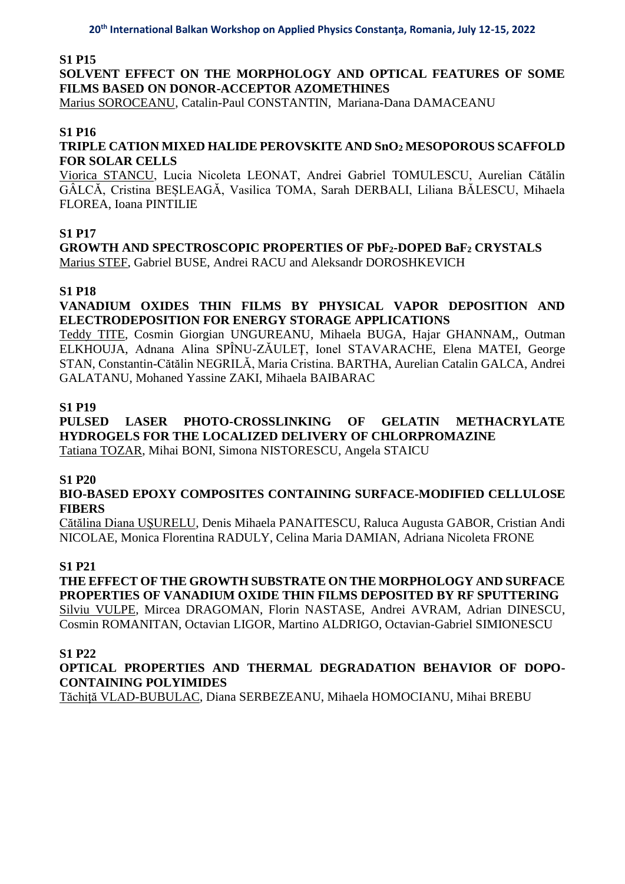#### **S1 P15**

**SOLVENT EFFECT ON THE MORPHOLOGY AND OPTICAL FEATURES OF SOME FILMS BASED ON DONOR-ACCEPTOR AZOMETHINES**

Marius SOROCEANU, Catalin-Paul CONSTANTIN, Mariana-Dana DAMACEANU

## **S1 P16**

## **TRIPLE CATION MIXED HALIDE PEROVSKITE AND SnO<sup>2</sup> MESOPOROUS SCAFFOLD FOR SOLAR CELLS**

Viorica STANCU, Lucia Nicoleta LEONAT, Andrei Gabriel TOMULESCU, Aurelian Cătălin GÂLCĂ, Cristina BEȘLEAGĂ, Vasilica TOMA, Sarah DERBALI, Liliana BĂLESCU, Mihaela FLOREA, Ioana PINTILIE

## **S1 P17**

**GROWTH AND SPECTROSCOPIC PROPERTIES OF PbF2-DOPED BaF<sup>2</sup> CRYSTALS** Marius STEF, Gabriel BUSE, Andrei RACU and Aleksandr DOROSHKEVICH

## **S1 P18**

## **VANADIUM OXIDES THIN FILMS BY PHYSICAL VAPOR DEPOSITION AND ELECTRODEPOSITION FOR ENERGY STORAGE APPLICATIONS**

Teddy TITE, Cosmin Giorgian UNGUREANU, Mihaela BUGA, Hajar GHANNAM,, Outman ELKHOUJA, Adnana Alina SPÎNU-ZĂULEŢ, Ionel STAVARACHE, Elena MATEI, George STAN, Constantin-Cătălin NEGRILĂ, Maria Cristina. BARTHA, Aurelian Catalin GALCA, Andrei GALATANU, Mohaned Yassine ZAKI, Mihaela BAIBARAC

## **S1 P19**

## **PULSED LASER PHOTO-CROSSLINKING OF GELATIN METHACRYLATE HYDROGELS FOR THE LOCALIZED DELIVERY OF CHLORPROMAZINE**

Tatiana TOZAR, Mihai BONI, Simona NISTORESCU, Angela STAICU

## **S1 P20**

### **BIO-BASED EPOXY COMPOSITES CONTAINING SURFACE-MODIFIED CELLULOSE FIBERS**

Cătălina Diana UŞURELU, Denis Mihaela PANAITESCU, Raluca Augusta GABOR, Cristian Andi NICOLAE, Monica Florentina RADULY, Celina Maria DAMIAN, Adriana Nicoleta FRONE

## **S1 P21**

## **THE EFFECT OF THE GROWTH SUBSTRATE ON THE MORPHOLOGY AND SURFACE PROPERTIES OF VANADIUM OXIDE THIN FILMS DEPOSITED BY RF SPUTTERING**

Silviu VULPE, Mircea DRAGOMAN, Florin NASTASE, Andrei AVRAM, Adrian DINESCU, Cosmin ROMANITAN, Octavian LIGOR, Martino ALDRIGO, Octavian-Gabriel SIMIONESCU

## **S1 P22**

### **OPTICAL PROPERTIES AND THERMAL DEGRADATION BEHAVIOR OF DOPO-CONTAINING POLYIMIDES**

Tăchiță VLAD-BUBULAC, Diana SERBEZEANU, Mihaela HOMOCIANU, Mihai BREBU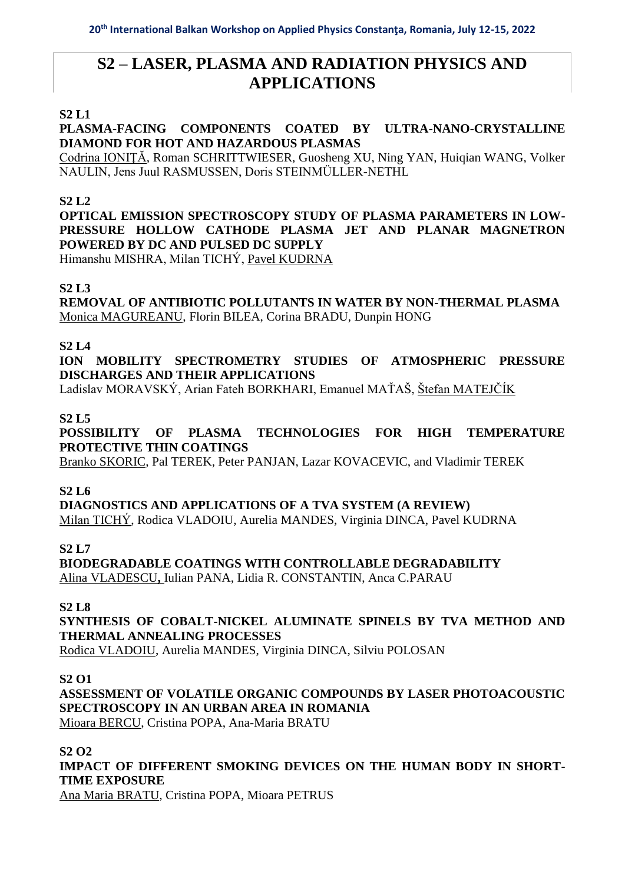# **S2 – LASER, PLASMA AND RADIATION PHYSICS AND APPLICATIONS**

## **S2 L1**

## **PLASMA-FACING COMPONENTS COATED BY ULTRA-NANO-CRYSTALLINE DIAMOND FOR HOT AND HAZARDOUS PLASMAS**

Codrina IONIŢĂ, Roman SCHRITTWIESER, Guosheng XU, Ning YAN, Huiqian WANG, Volker NAULIN, Jens Juul RASMUSSEN, Doris STEINMÜLLER-NETHL

## **S2 L2**

**OPTICAL EMISSION SPECTROSCOPY STUDY OF PLASMA PARAMETERS IN LOW-PRESSURE HOLLOW CATHODE PLASMA JET AND PLANAR MAGNETRON POWERED BY DC AND PULSED DC SUPPLY**

Himanshu MISHRA, Milan TICHÝ, Pavel KUDRNA

## **S2 L3**

**REMOVAL OF ANTIBIOTIC POLLUTANTS IN WATER BY NON-THERMAL PLASMA** Monica MAGUREANU, Florin BILEA, Corina BRADU, Dunpin HONG

## **S2 L4**

**ION MOBILITY SPECTROMETRY STUDIES OF ATMOSPHERIC PRESSURE DISCHARGES AND THEIR APPLICATIONS**

Ladislav MORAVSKÝ, Arian Fateh BORKHARI, Emanuel MAŤAŠ, Štefan MATEJČÍK

### **S2 L5**

**POSSIBILITY OF PLASMA TECHNOLOGIES FOR HIGH TEMPERATURE PROTECTIVE THIN COATINGS**

Branko SKORIC, Pal TEREK, Peter PANJAN, Lazar KOVACEVIC, and Vladimir TEREK

## **S2 L6**

**DIAGNOSTICS AND APPLICATIONS OF A TVA SYSTEM (A REVIEW)** Milan TICHÝ, Rodica VLADOIU, Aurelia MANDES, Virginia DINCA, Pavel KUDRNA

**S2 L7**

**BIODEGRADABLE COATINGS WITH CONTROLLABLE DEGRADABILITY**  Alina VLADESCU**,** Iulian PANA, Lidia R. CONSTANTIN, Anca C.PARAU

#### **S2 L8**

**SYNTHESIS OF COBALT-NICKEL ALUMINATE SPINELS BY TVA METHOD AND THERMAL ANNEALING PROCESSES**

Rodica VLADOIU, Aurelia MANDES, Virginia DINCA, Silviu POLOSAN

#### **S2 O1**

**ASSESSMENT OF VOLATILE ORGANIC COMPOUNDS BY LASER PHOTOACOUSTIC SPECTROSCOPY IN AN URBAN AREA IN ROMANIA**

Mioara BERCU, Cristina POPA, Ana-Maria BRATU

## **S2 O2**

**IMPACT OF DIFFERENT SMOKING DEVICES ON THE HUMAN BODY IN SHORT-TIME EXPOSURE**

Ana Maria BRATU, Cristina POPA, Mioara PETRUS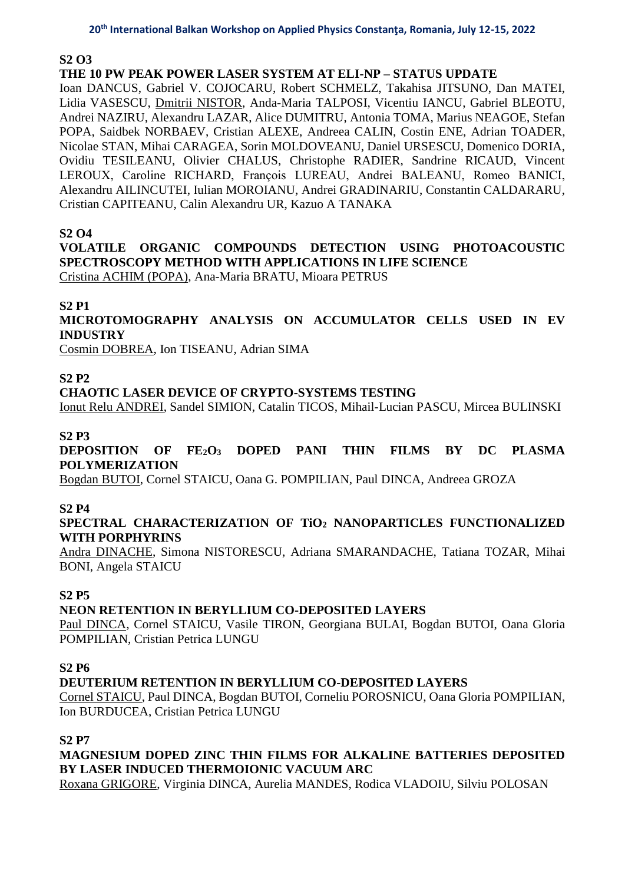#### **S2 O3**

## **THE 10 PW PEAK POWER LASER SYSTEM AT ELI-NP – STATUS UPDATE**

Ioan DANCUS, Gabriel V. COJOCARU, Robert SCHMELZ, Takahisa JITSUNO, Dan MATEI, Lidia VASESCU, Dmitrii NISTOR, Anda-Maria TALPOSI, Vicentiu IANCU, Gabriel BLEOTU, Andrei NAZIRU, Alexandru LAZAR, Alice DUMITRU, Antonia TOMA, Marius NEAGOE, Stefan POPA, Saidbek NORBAEV, Cristian ALEXE, Andreea CALIN, Costin ENE, Adrian TOADER, Nicolae STAN, Mihai CARAGEA, Sorin MOLDOVEANU, Daniel URSESCU, Domenico DORIA, Ovidiu TESILEANU, Olivier CHALUS, Christophe RADIER, Sandrine RICAUD, Vincent LEROUX, Caroline RICHARD, François LUREAU, Andrei BALEANU, Romeo BANICI, Alexandru AILINCUTEI, Iulian MOROIANU, Andrei GRADINARIU, Constantin CALDARARU, Cristian CAPITEANU, Calin Alexandru UR, Kazuo A TANAKA

## **S2 O4**

## **VOLATILE ORGANIC COMPOUNDS DETECTION USING PHOTOACOUSTIC SPECTROSCOPY METHOD WITH APPLICATIONS IN LIFE SCIENCE**

Cristina ACHIM (POPA), Ana-Maria BRATU, Mioara PETRUS

### **S2 P1**

**MICROTOMOGRAPHY ANALYSIS ON ACCUMULATOR CELLS USED IN EV INDUSTRY**

Cosmin DOBREA, Ion TISEANU, Adrian SIMA

### **S2 P2**

### **CHAOTIC LASER DEVICE OF CRYPTO-SYSTEMS TESTING**

Ionut Relu ANDREI, Sandel SIMION, Catalin TICOS, Mihail-Lucian PASCU, Mircea BULINSKI

### **S2 P3**

**DEPOSITION OF FE2O<sup>3</sup> DOPED PANI THIN FILMS BY DC PLASMA POLYMERIZATION**

Bogdan BUTOI, Cornel STAICU, Oana G. POMPILIAN, Paul DINCA, Andreea GROZA

#### **S2 P4**

## **SPECTRAL CHARACTERIZATION OF TiO<sup>2</sup> NANOPARTICLES FUNCTIONALIZED WITH PORPHYRINS**

Andra DINACHE, Simona NISTORESCU, Adriana SMARANDACHE, Tatiana TOZAR, Mihai BONI, Angela STAICU

#### **S2 P5**

## **NEON RETENTION IN BERYLLIUM CO-DEPOSITED LAYERS**

Paul DINCA, Cornel STAICU, Vasile TIRON, Georgiana BULAI, Bogdan BUTOI, Oana Gloria POMPILIAN, Cristian Petrica LUNGU

#### **S2 P6**

## **DEUTERIUM RETENTION IN BERYLLIUM CO-DEPOSITED LAYERS**

Cornel STAICU, Paul DINCA, Bogdan BUTOI, Corneliu POROSNICU, Oana Gloria POMPILIAN, Ion BURDUCEA, Cristian Petrica LUNGU

## **S2 P7**

## **MAGNESIUM DOPED ZINC THIN FILMS FOR ALKALINE BATTERIES DEPOSITED BY LASER INDUCED THERMOIONIC VACUUM ARC**

Roxana GRIGORE, Virginia DINCA, Aurelia MANDES, Rodica VLADOIU, Silviu POLOSAN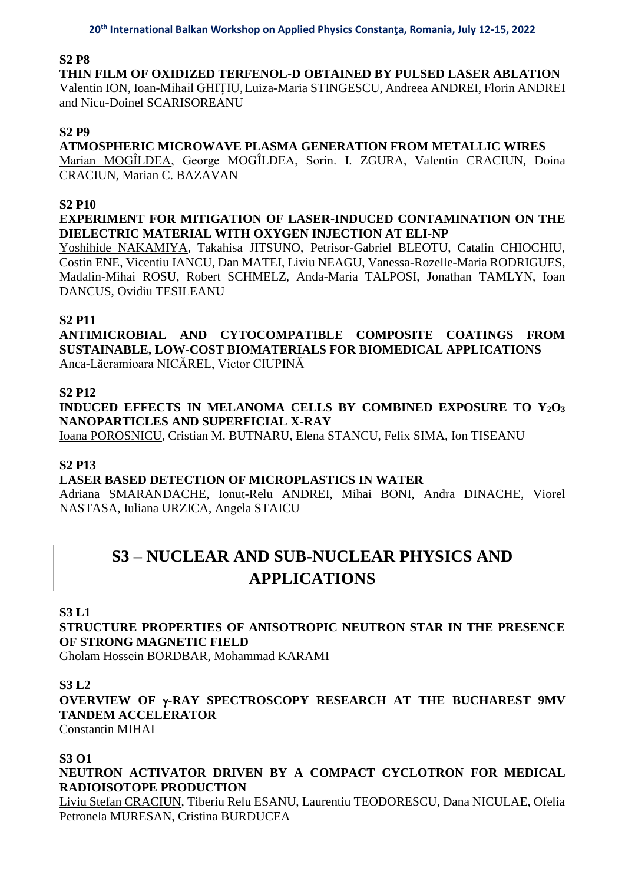### **S2 P8**

**THIN FILM OF OXIDIZED TERFENOL-D OBTAINED BY PULSED LASER ABLATION** Valentin ION, Ioan-Mihail GHIȚIU,Luiza-Maria STINGESCU, Andreea ANDREI, Florin ANDREI and Nicu-Doinel SCARISOREANU

#### **S2 P9**

**ATMOSPHERIC MICROWAVE PLASMA GENERATION FROM METALLIC WIRES** Marian MOGÎLDEA, George MOGÎLDEA, Sorin. I. ZGURA, Valentin CRACIUN, Doina

CRACIUN, Marian C. BAZAVAN

## **S2 P10**

## **EXPERIMENT FOR MITIGATION OF LASER-INDUCED CONTAMINATION ON THE DIELECTRIC MATERIAL WITH OXYGEN INJECTION AT ELI-NP**

Yoshihide NAKAMIYA, Takahisa JITSUNO, Petrisor-Gabriel BLEOTU, Catalin CHIOCHIU, Costin ENE, Vicentiu IANCU, Dan MATEI, Liviu NEAGU, Vanessa-Rozelle-Maria RODRIGUES, Madalin-Mihai ROSU, Robert SCHMELZ, Anda-Maria TALPOSI, Jonathan TAMLYN, Ioan DANCUS, Ovidiu TESILEANU

## **S2 P11**

**ANTIMICROBIAL AND CYTOCOMPATIBLE COMPOSITE COATINGS FROM SUSTAINABLE, LOW-COST BIOMATERIALS FOR BIOMEDICAL APPLICATIONS** Anca-Lăcramioara NICĂREL, Victor CIUPINĂ

### **S2 P12**

**INDUCED EFFECTS IN MELANOMA CELLS BY COMBINED EXPOSURE TO Y2O<sup>3</sup> NANOPARTICLES AND SUPERFICIAL X-RAY**

Ioana POROSNICU, Cristian M. BUTNARU, Elena STANCU, Felix SIMA, Ion TISEANU

## **S2 P13**

#### **LASER BASED DETECTION OF MICROPLASTICS IN WATER**

Adriana SMARANDACHE, Ionut-Relu ANDREI, Mihai BONI, Andra DINACHE, Viorel NASTASA, Iuliana URZICA, Angela STAICU

# **S3 – NUCLEAR AND SUB-NUCLEAR PHYSICS AND APPLICATIONS**

#### **S3 L1**

**STRUCTURE PROPERTIES OF ANISOTROPIC NEUTRON STAR IN THE PRESENCE OF STRONG MAGNETIC FIELD**

Gholam Hossein BORDBAR, Mohammad KARAMI

#### **S3 L2**

**OVERVIEW OF -RAY SPECTROSCOPY RESEARCH AT THE BUCHAREST 9MV TANDEM ACCELERATOR**

Constantin MIHAI

## **S3 O1**

**NEUTRON ACTIVATOR DRIVEN BY A COMPACT CYCLOTRON FOR MEDICAL RADIOISOTOPE PRODUCTION**

Liviu Stefan CRACIUN, Tiberiu Relu ESANU, Laurentiu TEODORESCU, Dana NICULAE, Ofelia Petronela MURESAN, Cristina BURDUCEA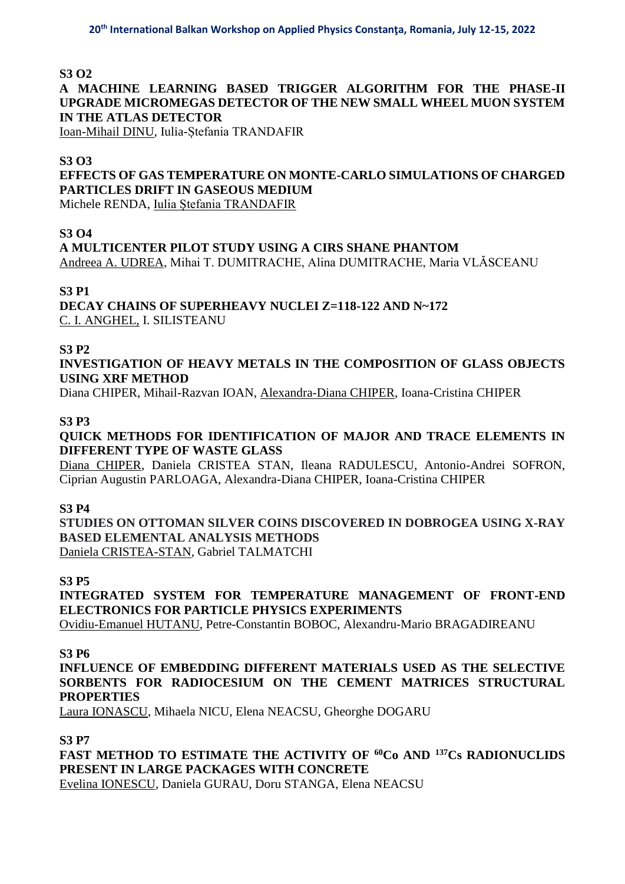## **S3 O2**

## **A MACHINE LEARNING BASED TRIGGER ALGORITHM FOR THE PHASE-II UPGRADE MICROMEGAS DETECTOR OF THE NEW SMALL WHEEL MUON SYSTEM IN THE ATLAS DETECTOR**

Ioan-Mihail DINU, Iulia-Ștefania TRANDAFIR

#### **S3 O3**

**EFFECTS OF GAS TEMPERATURE ON MONTE-CARLO SIMULATIONS OF CHARGED PARTICLES DRIFT IN GASEOUS MEDIUM**

Michele RENDA, Iulia Ștefania TRANDAFIR

### **S3 O4**

**A MULTICENTER PILOT STUDY USING A CIRS SHANE PHANTOM** Andreea A. UDREA, Mihai T. DUMITRACHE, Alina DUMITRACHE, Maria VLĂSCEANU

#### **S3 P1**

**DECAY CHAINS OF SUPERHEAVY NUCLEI Z=118-122 AND N~172** C. I. ANGHEL, I. SILISTEANU

### **S3 P2**

## **INVESTIGATION OF HEAVY METALS IN THE COMPOSITION OF GLASS OBJECTS USING XRF METHOD**

Diana CHIPER, Mihail-Razvan IOAN, Alexandra-Diana CHIPER, Ioana-Cristina CHIPER

### **S3 P3**

## **QUICK METHODS FOR IDENTIFICATION OF MAJOR AND TRACE ELEMENTS IN DIFFERENT TYPE OF WASTE GLASS**

Diana CHIPER, Daniela CRISTEA STAN, Ileana RADULESCU, Antonio-Andrei SOFRON, Ciprian Augustin PARLOAGA, Alexandra-Diana CHIPER, Ioana-Cristina CHIPER

#### **S3 P4**

**STUDIES ON OTTOMAN SILVER COINS DISCOVERED IN DOBROGEA USING X-RAY BASED ELEMENTAL ANALYSIS METHODS** Daniela CRISTEA-STAN, Gabriel TALMATCHI

#### **S3 P5**

**INTEGRATED SYSTEM FOR TEMPERATURE MANAGEMENT OF FRONT-END ELECTRONICS FOR PARTICLE PHYSICS EXPERIMENTS**

Ovidiu-Emanuel HUTANU, Petre-Constantin BOBOC, Alexandru-Mario BRAGADIREANU

#### **S3 P6**

**INFLUENCE OF EMBEDDING DIFFERENT MATERIALS USED AS THE SELECTIVE SORBENTS FOR RADIOCESIUM ON THE CEMENT MATRICES STRUCTURAL PROPERTIES** 

Laura IONASCU, Mihaela NICU, Elena NEACSU, Gheorghe DOGARU

## **S3 P7**

**FAST METHOD TO ESTIMATE THE ACTIVITY OF <sup>60</sup>Co AND <sup>137</sup>Cs RADIONUCLIDS PRESENT IN LARGE PACKAGES WITH CONCRETE** Evelina IONESCU, Daniela GURAU, Doru STANGA, Elena NEACSU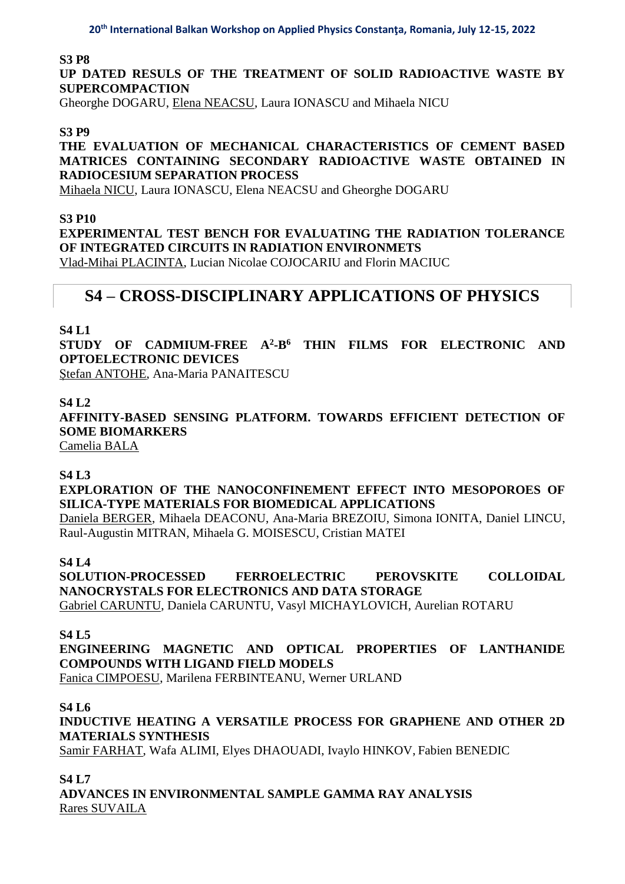#### **S3 P8**

## **UP DATED RESULS OF THE TREATMENT OF SOLID RADIOACTIVE WASTE BY SUPERCOMPACTION**

Gheorghe DOGARU, Elena NEACSU, Laura IONASCU and Mihaela NICU

#### **S3 P9**

## **THE EVALUATION OF MECHANICAL CHARACTERISTICS OF CEMENT BASED MATRICES CONTAINING SECONDARY RADIOACTIVE WASTE OBTAINED IN RADIOCESIUM SEPARATION PROCESS**

Mihaela NICU, Laura IONASCU, Elena NEACSU and Gheorghe DOGARU

#### **S3 P10**

**EXPERIMENTAL TEST BENCH FOR EVALUATING THE RADIATION TOLERANCE OF INTEGRATED CIRCUITS IN RADIATION ENVIRONMETS** Vlad-Mihai PLACINTA, Lucian Nicolae COJOCARIU and Florin MACIUC

# **S4 – CROSS-DISCIPLINARY APPLICATIONS OF PHYSICS**

### **S4 L1**

**STUDY OF CADMIUM-FREE A<sup>2</sup> -B<sup>6</sup> THIN FILMS FOR ELECTRONIC AND OPTOELECTRONIC DEVICES**

Ștefan ANTOHE, Ana-Maria PANAITESCU

#### **S4 L2**

**AFFINITY-BASED SENSING PLATFORM. TOWARDS EFFICIENT DETECTION OF SOME BIOMARKERS**

Camelia BALA

#### **S4 L3**

**EXPLORATION OF THE NANOCONFINEMENT EFFECT INTO MESOPOROES OF SILICA-TYPE MATERIALS FOR BIOMEDICAL APPLICATIONS**

Daniela BERGER, Mihaela DEACONU, Ana-Maria BREZOIU, Simona IONITA, Daniel LINCU, Raul-Augustin MITRAN, Mihaela G. MOISESCU, Cristian MATEI

#### **S4 L4**

**SOLUTION-PROCESSED FERROELECTRIC PEROVSKITE COLLOIDAL NANOCRYSTALS FOR ELECTRONICS AND DATA STORAGE**

Gabriel CARUNTU, Daniela CARUNTU, Vasyl MICHAYLOVICH, Aurelian ROTARU

#### **S4 L5**

**ENGINEERING MAGNETIC AND OPTICAL PROPERTIES OF LANTHANIDE COMPOUNDS WITH LIGAND FIELD MODELS** Fanica CIMPOESU, Marilena FERBINTEANU, Werner URLAND

**S4 L6**

**INDUCTIVE HEATING A VERSATILE PROCESS FOR GRAPHENE AND OTHER 2D MATERIALS SYNTHESIS**

Samir FARHAT, Wafa ALIMI, Elyes DHAOUADI, Ivaylo HINKOV, Fabien BENEDIC

#### **S4 L7**

**ADVANCES IN ENVIRONMENTAL SAMPLE GAMMA RAY ANALYSIS** Rares SUVAILA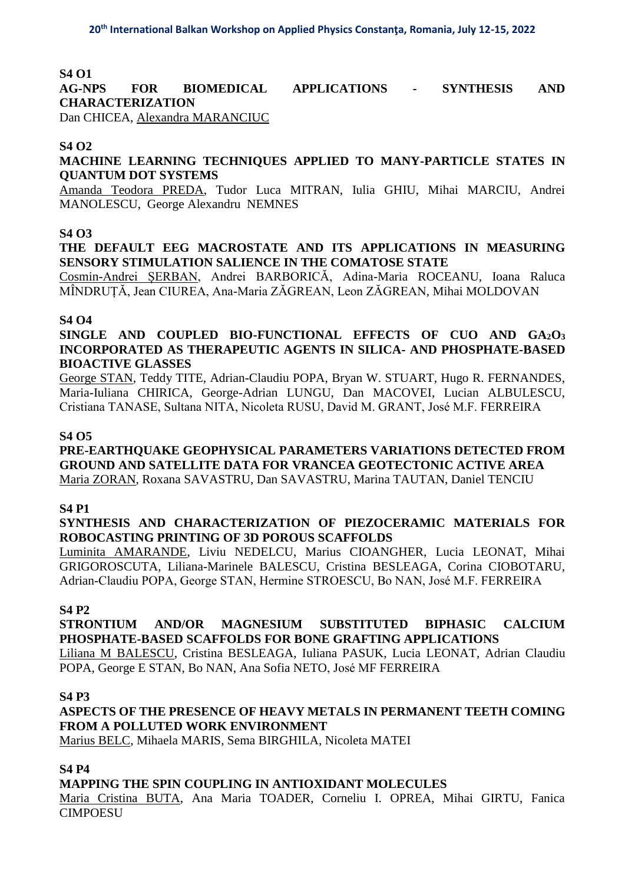## **S4 O1**

**AG-NPS FOR BIOMEDICAL APPLICATIONS - SYNTHESIS AND CHARACTERIZATION**

Dan CHICEA, Alexandra MARANCIUC

## **S4 O2**

**MACHINE LEARNING TECHNIQUES APPLIED TO MANY-PARTICLE STATES IN QUANTUM DOT SYSTEMS** 

Amanda Teodora PREDA, Tudor Luca MITRAN, Iulia GHIU, Mihai MARCIU, Andrei MANOLESCU, George Alexandru NEMNES

#### **S4 O3**

**THE DEFAULT EEG MACROSTATE AND ITS APPLICATIONS IN MEASURING SENSORY STIMULATION SALIENCE IN THE COMATOSE STATE**

Cosmin-Andrei ȘERBAN, Andrei BARBORICĂ, Adina-Maria ROCEANU, Ioana Raluca MÎNDRUȚĂ, Jean CIUREA, Ana-Maria ZĂGREAN, Leon ZĂGREAN, Mihai MOLDOVAN

### **S4 O4**

**SINGLE AND COUPLED BIO-FUNCTIONAL EFFECTS OF CUO AND GA2O<sup>3</sup> INCORPORATED AS THERAPEUTIC AGENTS IN SILICA- AND PHOSPHATE-BASED BIOACTIVE GLASSES**

George STAN, Teddy TITE, Adrian-Claudiu POPA, Bryan W. STUART, Hugo R. FERNANDES, Maria-Iuliana CHIRICA, George-Adrian LUNGU, Dan MACOVEI, Lucian ALBULESCU, Cristiana TANASE, Sultana NITA, Nicoleta RUSU, David M. GRANT, José M.F. FERREIRA

#### **S4 O5**

**PRE-EARTHQUAKE GEOPHYSICAL PARAMETERS VARIATIONS DETECTED FROM GROUND AND SATELLITE DATA FOR VRANCEA GEOTECTONIC ACTIVE AREA**  Maria ZORAN, Roxana SAVASTRU, Dan SAVASTRU, Marina TAUTAN, Daniel TENCIU

#### **S4 P1**

**SYNTHESIS AND CHARACTERIZATION OF PIEZOCERAMIC MATERIALS FOR ROBOCASTING PRINTING OF 3D POROUS SCAFFOLDS**

Luminita AMARANDE, Liviu NEDELCU, Marius CIOANGHER, Lucia LEONAT, Mihai GRIGOROSCUTA, Liliana-Marinele BALESCU, Cristina BESLEAGA, Corina CIOBOTARU, Adrian-Claudiu POPA, George STAN, Hermine STROESCU, Bo NAN, José M.F. FERREIRA

#### **S4 P2**

**STRONTIUM AND/OR MAGNESIUM SUBSTITUTED BIPHASIC CALCIUM PHOSPHATE-BASED SCAFFOLDS FOR BONE GRAFTING APPLICATIONS** Liliana M BALESCU, Cristina BESLEAGA, Iuliana PASUK, Lucia LEONAT, Adrian Claudiu POPA, George E STAN, Bo NAN, Ana Sofia NETO, José MF FERREIRA

#### **S4 P3**

**ASPECTS OF THE PRESENCE OF HEAVY METALS IN PERMANENT TEETH COMING FROM A POLLUTED WORK ENVIRONMENT**

Marius BELC, Mihaela MARIS, Sema BIRGHILA, Nicoleta MATEI

## **S4 P4**

**MAPPING THE SPIN COUPLING IN ANTIOXIDANT MOLECULES**

Maria Cristina BUTA, Ana Maria TOADER, Corneliu I. OPREA, Mihai GIRTU, Fanica **CIMPOESU**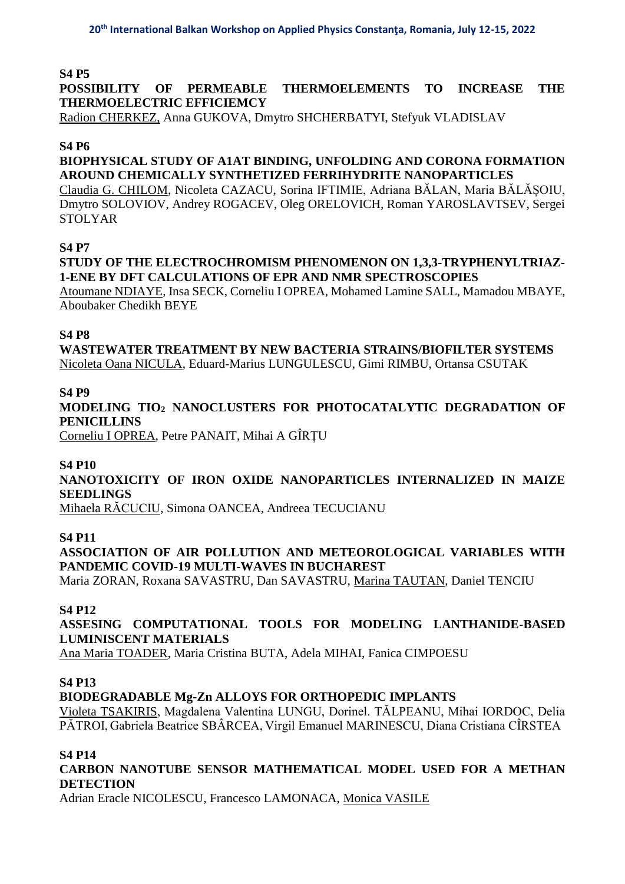## **S4 P5**

**POSSIBILITY OF PERMEABLE THERMOELEMENTS TO INCREASE THE THERMOELECTRIC EFFICIEMCY** 

Radion CHERKEZ, Anna GUKOVA, Dmytro SHCHERBATYI, Stefyuk VLADISLAV

#### **S4 P6**

## **BIOPHYSICAL STUDY OF A1AT BINDING, UNFOLDING AND CORONA FORMATION AROUND CHEMICALLY SYNTHETIZED FERRIHYDRITE NANOPARTICLES**

Claudia G. CHILOM, Nicoleta CAZACU, Sorina IFTIMIE, Adriana BĂLAN, Maria BĂLĂȘOIU, Dmytro SOLOVIOV, Andrey ROGACEV, Oleg ORELOVICH, Roman YAROSLAVTSEV, Sergei STOLYAR

#### **S4 P7**

### **STUDY OF THE ELECTROCHROMISM PHENOMENON ON 1,3,3-TRYPHENYLTRIAZ-1-ENE BY DFT CALCULATIONS OF EPR AND NMR SPECTROSCOPIES**

Atoumane NDIAYE, Insa SECK, Corneliu I OPREA, Mohamed Lamine SALL, Mamadou MBAYE, Aboubaker Chedikh BEYE

#### **S4 P8**

**WASTEWATER TREATMENT BY NEW BACTERIA STRAINS/BIOFILTER SYSTEMS** Nicoleta Oana NICULA, Eduard-Marius LUNGULESCU, Gimi RIMBU, Ortansa CSUTAK

### **S4 P9**

## **MODELING TIO<sup>2</sup> NANOCLUSTERS FOR PHOTOCATALYTIC DEGRADATION OF PENICILLINS**

Corneliu I OPREA, Petre PANAIT, Mihai A GÎRȚU

#### **S4 P10**

## **NANOTOXICITY OF IRON OXIDE NANOPARTICLES INTERNALIZED IN MAIZE SEEDLINGS**

Mihaela RĂCUCIU, Simona OANCEA, Andreea TECUCIANU

#### **S4 P11**

## **ASSOCIATION OF AIR POLLUTION AND METEOROLOGICAL VARIABLES WITH PANDEMIC COVID-19 MULTI-WAVES IN BUCHAREST**

Maria ZORAN, Roxana SAVASTRU, Dan SAVASTRU, Marina TAUTAN, Daniel TENCIU

#### **S4 P12**

## **ASSESING COMPUTATIONAL TOOLS FOR MODELING LANTHANIDE-BASED LUMINISCENT MATERIALS**

Ana Maria TOADER, Maria Cristina BUTA, Adela MIHAI, Fanica CIMPOESU

## **S4 P13**

## **BIODEGRADABLE Mg-Zn ALLOYS FOR ORTHOPEDIC IMPLANTS**

Violeta TSAKIRIS, Magdalena Valentina LUNGU, Dorinel. TĂLPEANU, Mihai IORDOC, Delia PĂTROI, Gabriela Beatrice SBÂRCEA, Virgil Emanuel MARINESCU, Diana Cristiana CÎRSTEA

#### **S4 P14**

## **CARBON NANOTUBE SENSOR MATHEMATICAL MODEL USED FOR A METHAN DETECTION**

Adrian Eracle NICOLESCU, Francesco LAMONACA, Monica VASILE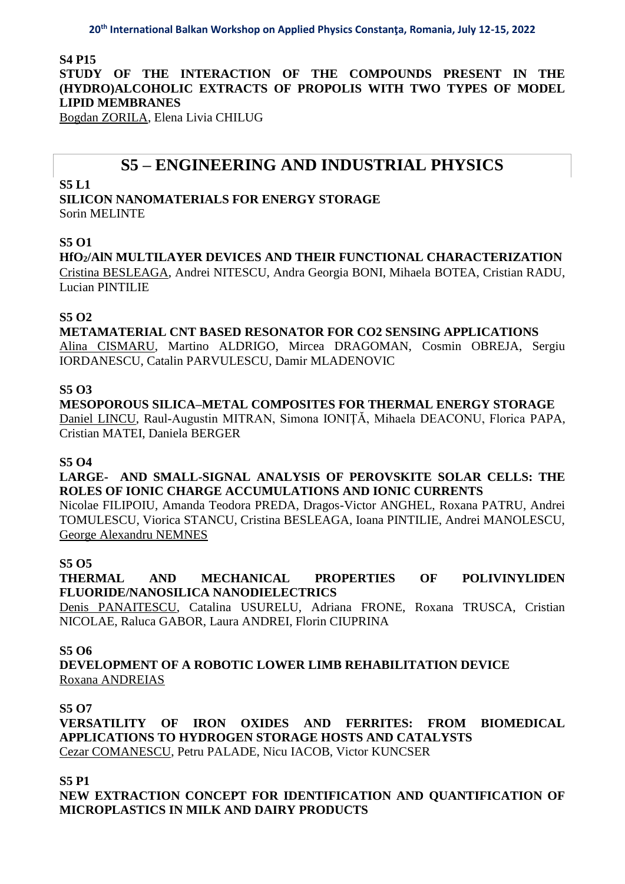**S4 P15**

**STUDY OF THE INTERACTION OF THE COMPOUNDS PRESENT IN THE (HYDRO)ALCOHOLIC EXTRACTS OF PROPOLIS WITH TWO TYPES OF MODEL LIPID MEMBRANES**

Bogdan ZORILA, Elena Livia CHILUG

# **S5 – ENGINEERING AND INDUSTRIAL PHYSICS**

**S5 L1**

**SILICON NANOMATERIALS FOR ENERGY STORAGE** Sorin MELINTE

### **S5 O1**

**HfO2/AlN MULTILAYER DEVICES AND THEIR FUNCTIONAL CHARACTERIZATION** Cristina BESLEAGA, Andrei NITESCU, Andra Georgia BONI, Mihaela BOTEA, Cristian RADU, Lucian PINTILIE

#### **S5 O2**

**METAMATERIAL CNT BASED RESONATOR FOR CO2 SENSING APPLICATIONS** Alina CISMARU, Martino ALDRIGO, Mircea DRAGOMAN, Cosmin OBREJA, Sergiu IORDANESCU, Catalin PARVULESCU, Damir MLADENOVIC

#### **S5 O3**

**MESOPOROUS SILICA–METAL COMPOSITES FOR THERMAL ENERGY STORAGE** Daniel LINCU, Raul-Augustin MITRAN, Simona IONIȚĂ, Mihaela DEACONU, Florica PAPA, Cristian MATEI, Daniela BERGER

#### **S5 O4**

**LARGE- AND SMALL-SIGNAL ANALYSIS OF PEROVSKITE SOLAR CELLS: THE ROLES OF IONIC CHARGE ACCUMULATIONS AND IONIC CURRENTS**

Nicolae FILIPOIU, Amanda Teodora PREDA, Dragos-Victor ANGHEL, Roxana PATRU, Andrei TOMULESCU, Viorica STANCU, Cristina BESLEAGA, Ioana PINTILIE, Andrei MANOLESCU, George Alexandru NEMNES

#### **S5 O5**

**THERMAL AND MECHANICAL PROPERTIES OF POLIVINYLIDEN FLUORIDE/NANOSILICA NANODIELECTRICS** 

Denis PANAITESCU, Catalina USURELU, Adriana FRONE, Roxana TRUSCA, Cristian NICOLAE, Raluca GABOR, Laura ANDREI, Florin CIUPRINA

#### **S5 O6**

**DEVELOPMENT OF A ROBOTIC LOWER LIMB REHABILITATION DEVICE** Roxana ANDREIAS

#### **S5 O7**

**VERSATILITY OF IRON OXIDES AND FERRITES: FROM BIOMEDICAL APPLICATIONS TO HYDROGEN STORAGE HOSTS AND CATALYSTS**  Cezar COMANESCU, Petru PALADE, Nicu IACOB, Victor KUNCSER

**S5 P1**

**NEW EXTRACTION CONCEPT FOR IDENTIFICATION AND QUANTIFICATION OF MICROPLASTICS IN MILK AND DAIRY PRODUCTS**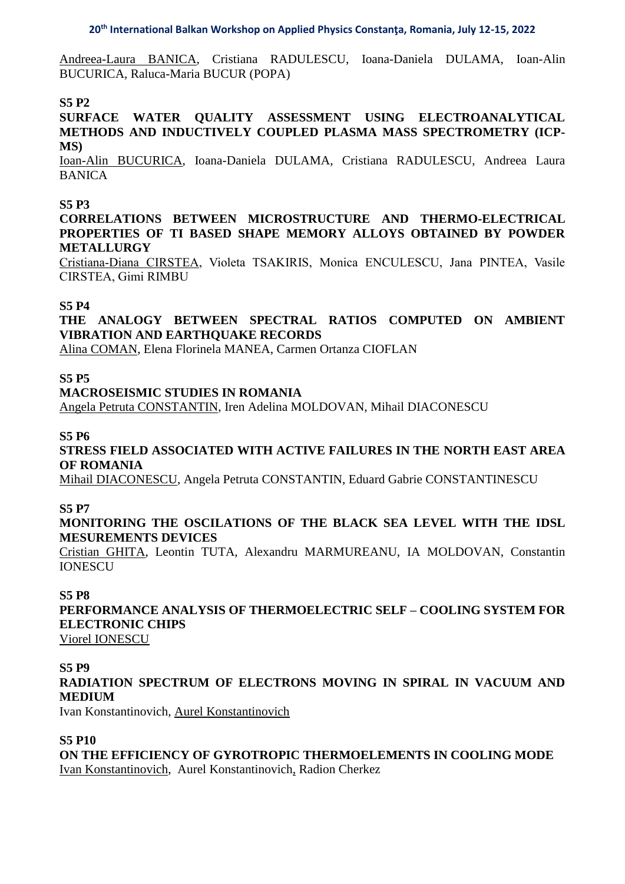Andreea-Laura BANICA, Cristiana RADULESCU, Ioana-Daniela DULAMA, Ioan-Alin BUCURICA, Raluca-Maria BUCUR (POPA)

## **S5 P2**

#### **SURFACE WATER QUALITY ASSESSMENT USING ELECTROANALYTICAL METHODS AND INDUCTIVELY COUPLED PLASMA MASS SPECTROMETRY (ICP-MS)**

Ioan-Alin BUCURICA, Ioana-Daniela DULAMA, Cristiana RADULESCU, Andreea Laura BANICA

#### **S5 P3**

**CORRELATIONS BETWEEN MICROSTRUCTURE AND THERMO-ELECTRICAL PROPERTIES OF TI BASED SHAPE MEMORY ALLOYS OBTAINED BY POWDER METALLURGY**

Cristiana-Diana CIRSTEA, Violeta TSAKIRIS, Monica ENCULESCU, Jana PINTEA, Vasile CIRSTEA, Gimi RIMBU

#### **S5 P4**

## **THE ANALOGY BETWEEN SPECTRAL RATIOS COMPUTED ON AMBIENT VIBRATION AND EARTHQUAKE RECORDS**

Alina COMAN, Elena Florinela MANEA, Carmen Ortanza CIOFLAN

#### **S5 P5**

#### **MACROSEISMIC STUDIES IN ROMANIA**

Angela Petruta CONSTANTIN, Iren Adelina MOLDOVAN, Mihail DIACONESCU

#### **S5 P6**

#### **STRESS FIELD ASSOCIATED WITH ACTIVE FAILURES IN THE NORTH EAST AREA OF ROMANIA**

Mihail DIACONESCU, Angela Petruta CONSTANTIN, Eduard Gabrie CONSTANTINESCU

#### **S5 P7**

#### **MONITORING THE OSCILATIONS OF THE BLACK SEA LEVEL WITH THE IDSL MESUREMENTS DEVICES**

Cristian GHITA, Leontin TUTA, Alexandru MARMUREANU, IA MOLDOVAN, Constantin IONESCU

#### **S5 P8**

**PERFORMANCE ANALYSIS OF THERMOELECTRIC SELF – COOLING SYSTEM FOR ELECTRONIC CHIPS**

Viorel IONESCU

#### **S5 P9**

## **RADIATION SPECTRUM OF ELECTRONS MOVING IN SPIRAL IN VACUUM AND MEDIUM**

Ivan Konstantinovich, Aurel Konstantinovich

## **S5 P10**

**ON THE EFFICIENCY OF GYROTROPIC THERMOELEMENTS IN COOLING MODE** Ivan Konstantinovich, Aurel Konstantinovich, Radion Cherkez